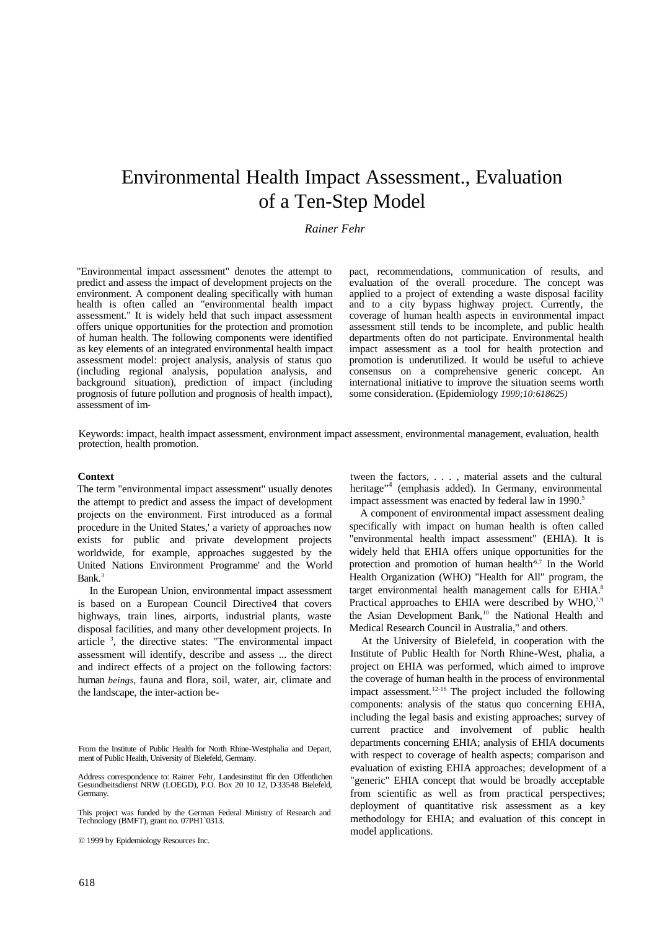# Environmental Health Impact Assessment., Evaluation of a Ten-Step Model

# *Rainer Fehr*

"Environmental impact assessment" denotes the attempt to predict and assess the impact of development projects on the environment. A component dealing specifically with human health is often called an "environmental health impact assessment." It is widely held that such impact assessment offers unique opportunities for the protection and promotion of human health. The following components were identified as key elements of an integrated environmental health impact assessment model: project analysis, analysis of status quo (including regional analysis, population analysis, and background situation), prediction of impact (including prognosis of future pollution and prognosis of health impact), assessment of impact, recommendations, communication of results, and evaluation of the overall procedure. The concept was applied to a project of extending a waste disposal facility and to a city bypass highway project. Currently, the coverage of human health aspects in environmental impact assessment still tends to be incomplete, and public health departments often do not participate. Environmental health impact assessment as a tool for health protection and promotion is underutilized. It would be useful to achieve consensus on a comprehensive generic concept. An international initiative to improve the situation seems worth some consideration. (Epidemiology *1999;10:618625)*

Keywords: impact, health impact assessment, environment impact assessment, environmental management, evaluation, health protection, health promotion.

# **Context**

The term "environmental impact assessment" usually denotes the attempt to predict and assess the impact of development projects on the environment. First introduced as a formal procedure in the United States,' a variety of approaches now exists for public and private development projects worldwide, for example, approaches suggested by the United Nations Environment Programme' and the World Bank<sup>3</sup>

In the European Union, environmental impact assessment is based on a European Council Directive4 that covers highways, train lines, airports, industrial plants, waste disposal facilities, and many other development projects. In article<sup>3</sup>, the directive states: "The environmental impact assessment will identify, describe and assess ... the direct and indirect effects of a project on the following factors: human *beings,* fauna and flora, soil, water, air, climate and the landscape, the inter-action be-

© 1999 by Epidemiology Resources Inc.

tween the factors, . . . , material assets and the cultural heritage"<sup>4</sup> (emphasis added). In Germany, environmental impact assessment was enacted by federal law in 1990.<sup>5</sup>

A component of environmental impact assessment dealing specifically with impact on human health is often called "environmental health impact assessment" (EHIA). It is widely held that EHIA offers unique opportunities for the protection and promotion of human health<sup> $6,7$ </sup> In the World Health Organization (WHO) "Health for All" program, the target environmental health management calls for EHIA.<sup>8</sup> Practical approaches to EHIA were described by  $WHO$ ,<sup>7,9</sup> the Asian Development Bank,<sup>10</sup> the National Health and Medical Research Council in Australia," and others.

At the University of Bielefeld, in cooperation with the Institute of Public Health for North Rhine-West, phalia, a project on EHIA was performed, which aimed to improve the coverage of human health in the process of environmental impact assessment.12-16 The project included the following components: analysis of the status quo concerning EHIA, including the legal basis and existing approaches; survey of current practice and involvement of public health departments concerning EHIA; analysis of EHIA documents with respect to coverage of health aspects; comparison and evaluation of existing EHIA approaches; development of a "generic" EHIA concept that would be broadly acceptable from scientific as well as from practical perspectives; deployment of quantitative risk assessment as a key methodology for EHIA; and evaluation of this concept in model applications.

From the Institute of Public Health for North Rhine-Westphalia and Depart, ment of Public Health, University of Bielefeld, Germany.

Address correspondence to: Rainer Fehr, Landesinstitut ffir den Offentlichen Gesundheitsdienst NRW (LOEGD), P.O. Box 20 10 12, D-33548 Bielefeld, Germany.

This project was funded by the German Federal Ministry of Research and Technology (BMFT), grant no. 07PH1`0313.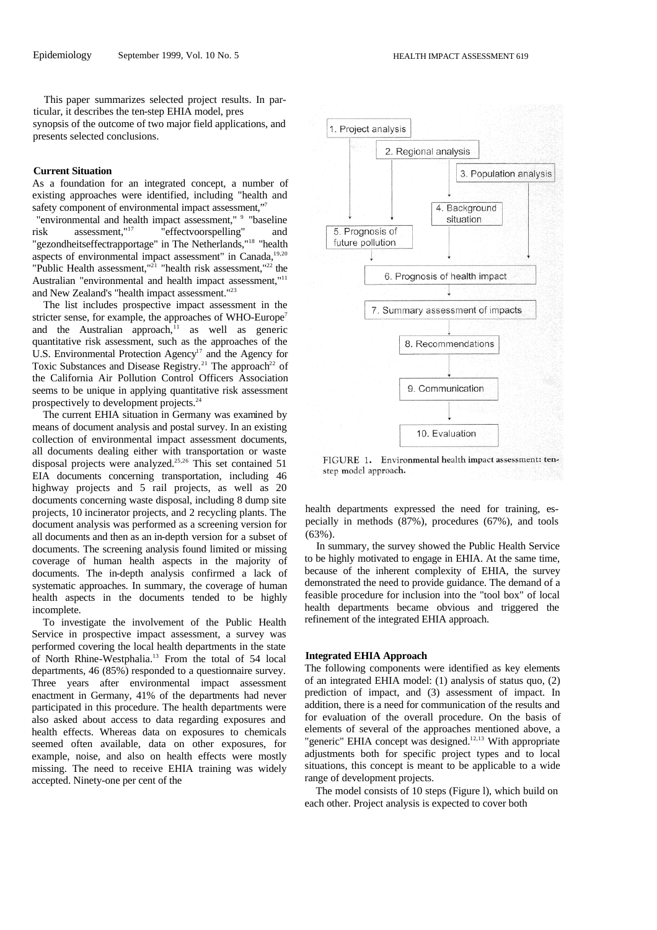This paper summarizes selected project results. In particular, it describes the ten-step EHIA model, pres synopsis of the outcome of two major field applications, and presents selected conclusions.

# **Current Situation**

As a foundation for an integrated concept, a number of existing approaches were identified, including "health and safety component of environmental impact assessment,"7

"environmental and health impact assessment," <sup>9</sup> "baseline risk assessment,"<sup>17</sup> "effectvoorspelling" and "gezondheitseffectrapportage" in The Netherlands,"<sup>18</sup> "health aspects of environmental impact assessment" in Canada,<sup>19,20</sup> "Public Health assessment,"<sup>21</sup> "health risk assessment,"<sup>22</sup> the Australian "environmental and health impact assessment,"<sup>11</sup> and New Zealand's "health impact assessment."<sup>23</sup>

The list includes prospective impact assessment in the stricter sense, for example, the approaches of WHO-Europe<sup>7</sup> and the Australian approach, $11$  as well as generic quantitative risk assessment, such as the approaches of the U.S. Environmental Protection Agency<sup>17</sup> and the Agency for Toxic Substances and Disease Registry.<sup>21</sup> The approach<sup>22</sup> of the California Air Pollution Control Officers Association seems to be unique in applying quantitative risk assessment prospectively to development projects.<sup>24</sup>

The current EHIA situation in Germany was examined by means of document analysis and postal survey. In an existing collection of environmental impact assessment documents, all documents dealing either with transportation or waste disposal projects were analyzed.<sup>25,26</sup> This set contained 51 EIA documents concerning transportation, including 46 highway projects and 5 rail projects, as well as 20 documents concerning waste disposal, including 8 dump site projects, 10 incinerator projects, and 2 recycling plants. The document analysis was performed as a screening version for all documents and then as an in-depth version for a subset of documents. The screening analysis found limited or missing coverage of human health aspects in the majority of documents. The in-depth analysis confirmed a lack of systematic approaches. In summary, the coverage of human health aspects in the documents tended to be highly incomplete.

To investigate the involvement of the Public Health Service in prospective impact assessment, a survey was performed covering the local health departments in the state of North Rhine-Westphalia.<sup>13</sup> From the total of 54 local departments, 46 (85%) responded to a questionnaire survey. Three years after environmental impact assessment enactment in Germany, 41% of the departments had never participated in this procedure. The health departments were also asked about access to data regarding exposures and health effects. Whereas data on exposures to chemicals seemed often available, data on other exposures, for example, noise, and also on health effects were mostly missing. The need to receive EHIA training was widely accepted. Ninety-one per cent of the



FIGURE 1. Environmental health impact assessment: tenstep model approach.

health departments expressed the need for training, especially in methods (87%), procedures (67%), and tools  $(63\%)$ 

In summary, the survey showed the Public Health Service to be highly motivated to engage in EHIA. At the same time, because of the inherent complexity of EHIA, the survey demonstrated the need to provide guidance. The demand of a feasible procedure for inclusion into the "tool box" of local health departments became obvious and triggered the refinement of the integrated EHIA approach.

# **Integrated EHIA Approach**

The following components were identified as key elements of an integrated EHIA model: (1) analysis of status quo, (2) prediction of impact, and (3) assessment of impact. In addition, there is a need for communication of the results and for evaluation of the overall procedure. On the basis of elements of several of the approaches mentioned above, a "generic" EHIA concept was designed.<sup>12,13</sup> With appropriate adjustments both for specific project types and to local situations, this concept is meant to be applicable to a wide range of development projects.

The model consists of 10 steps (Figure l), which build on each other. Project analysis is expected to cover both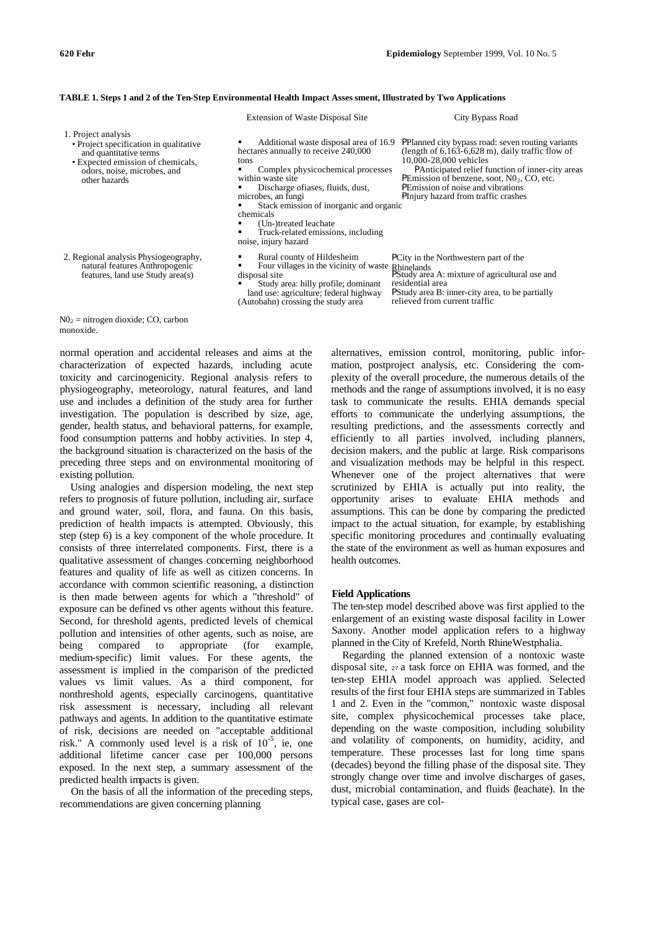|                                                                                                                                                                              | <b>Extension of Waste Disposal Site</b>                                                                                                                                                                                                                                                                                                                   | City Bypass Road                                                                                                                                                                                                                                                                                                                         |
|------------------------------------------------------------------------------------------------------------------------------------------------------------------------------|-----------------------------------------------------------------------------------------------------------------------------------------------------------------------------------------------------------------------------------------------------------------------------------------------------------------------------------------------------------|------------------------------------------------------------------------------------------------------------------------------------------------------------------------------------------------------------------------------------------------------------------------------------------------------------------------------------------|
| 1. Project analysis<br>• Project specification in qualitative<br>and quantitative terms<br>• Expected emission of chemicals,<br>odors, noise, microbes, and<br>other hazards | Additional waste disposal area of 16.9<br>hectares annually to receive 240,000<br>tons<br>Complex physicochemical processes<br>within waste site<br>Discharge of ases, fluids, dust,<br>microbes, an fungi<br>Stack emission of inorganic and organic<br>chemicals<br>(Un-)treated leachate<br>Truck-related emissions, including<br>noise, injury hazard | PPlanned city bypass road: seven routing variants<br>(length of $6,163-6,628$ m), daily traffic flow of<br>10,000-28,000 vehicles<br><b>PAnticipated relief function of inner-city areas</b><br><b>PE</b> mission of benzene, soot, $N02$ , CO, etc.<br><b>PE</b> mission of noise and vibrations<br>PInjury hazard from traffic crashes |
| 2. Regional analysis Physiogeography,<br>natural features Anthropogenic<br>features, land use Study area(s)                                                                  | Rural county of Hildesheim<br>Four villages in the vicinity of waste Rhinelands<br>disposal site<br>Study area: hilly profile; dominant<br>land use: agriculture; federal highway<br>(Autobahn) crossing the study area                                                                                                                                   | PCity in the Northwestern part of the<br><b>P</b> Study area A: mixture of agricultural use and<br>residential area<br><b>P</b> Study area B: inner-city area, to be partially<br>relieved from current traffic                                                                                                                          |

**TABLE 1. Steps 1 and 2 of the Ten-Step Environmental Health Impact Asses sment, Illustrated by Two Applications**

 $N_2$  = nitrogen dioxide; CO, carbon monoxide.

normal operation and accidental releases and aims at the characterization of expected hazards, including acute toxicity and carcinogenicity. Regional analysis refers to physiogeography, meteorology, natural features, and land use and includes a definition of the study area for further investigation. The population is described by size, age, gender, health status, and behavioral patterns, for example, food consumption patterns and hobby activities. In step 4, the background situation is characterized on the basis of the preceding three steps and on environmental monitoring of existing pollution.

Using analogies and dispersion modeling, the next step refers to prognosis of future pollution, including air, surface and ground water, soil, flora, and fauna. On this basis, prediction of health impacts is attempted. Obviously, this step (step 6) is a key component of the whole procedure. It consists of three interrelated components. First, there is a qualitative assessment of changes concerning neighborhood features and quality of life as well as citizen concerns. In accordance with common scientific reasoning, a distinction is then made between agents for which a "threshold" of exposure can be defined vs other agents without this feature. Second, for threshold agents, predicted levels of chemical pollution and intensities of other agents, such as noise, are being compared to appropriate (for example, medium-specific) limit values. For these agents, the assessment is implied in the comparison of the predicted values vs limit values. As a third component, for nonthreshold agents, especially carcinogens, quantitative risk assessment is necessary, including all relevant pathways and agents. In addition to the quantitative estimate of risk, decisions are needed on "acceptable additional risk." A commonly used level is a risk of  $10^{-5}$ , ie, one additional lifetime cancer case per 100,000 persons exposed. In the next step, a summary assessment of the predicted health impacts is given.

On the basis of all the information of the preceding steps, recommendations are given concerning planning

alternatives, emission control, monitoring, public information, postproject analysis, etc. Considering the complexity of the overall procedure, the numerous details of the methods and the range of assumptions involved, it is no easy task to communicate the results. EHIA demands special efforts to communicate the underlying assumptions, the resulting predictions, and the assessments correctly and efficiently to all parties involved, including planners, decision makers, and the public at large. Risk comparisons and visualization methods may be helpful in this respect. Whenever one of the project alternatives that were scrutinized by EHIA is actually put into reality, the opportunity arises to evaluate EHIA methods and assumptions. This can be done by comparing the predicted impact to the actual situation, for example, by establishing specific monitoring procedures and continually evaluating the state of the environment as well as human exposures and health outcomes.

### **Field Applications**

The ten-step model described above was first applied to the enlargement of an existing waste disposal facility in Lower Saxony. Another model application refers to a highway planned in the City of Krefeld, North RhineWestphalia.

Regarding the planned extension of a nontoxic waste disposal site, 27 a task force on EHIA was formed, and the ten-step EHIA model approach was applied. Selected results of the first four EHIA steps are summarized in Tables 1 and 2. Even in the "common," nontoxic waste disposal site, complex physicochemical processes take place, depending on the waste composition, including solubility and volatility of components, on humidity, acidity, and temperature. These processes last for long time spans (decades) beyond the filling phase of the disposal site. They strongly change over time and involve discharges of gases, dust, microbial contamination, and fluids (leachate). In the typical case, gases are col-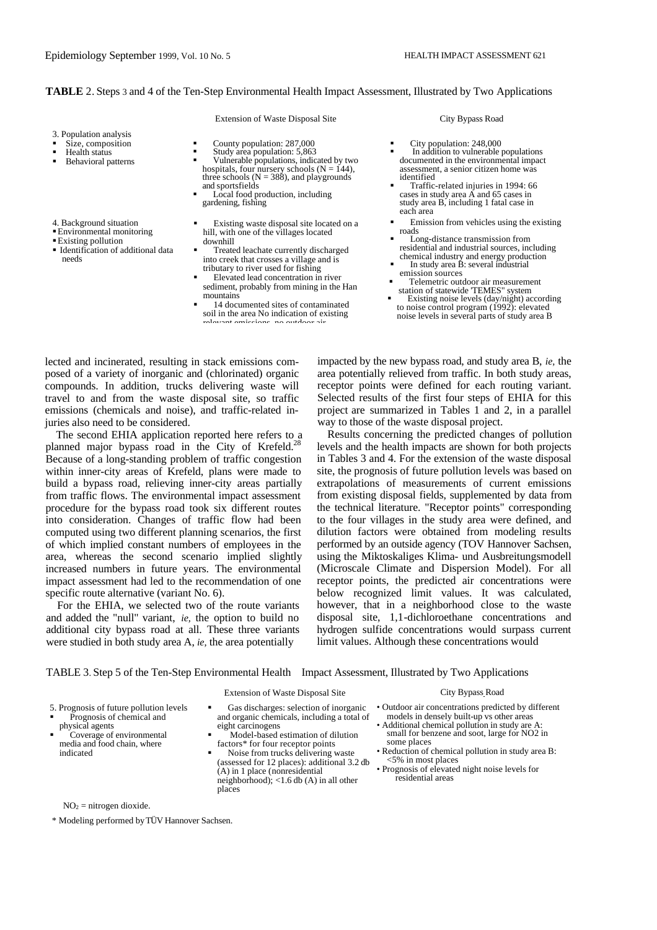# **TABLE** 2. Steps 3 and 4 of the Ten-Step Environmental Health Impact Assessment, Illustrated by Two Applications

### Extension of Waste Disposal Site City Bypass Road

- 3. Population analysis
- ß Size, composition
- Health status
- ß Behavioral patterns
- 4. Background situation
- ßEnvironmental monitoring
- Existing pollution
- **Identification of additional data** needs
- ß County population: 287,000
- ß Study area population: 5,863
- ß Vulnerable populations, indicated by two hospitals, four nursery schools ( $N = 144$ ), three schools ( $N = 388$ ), and playgrounds and sportsfields
- Local food production, including gardening, fishing
- ß Existing waste disposal site located on a hill, with one of the villages located downhill
- ß Treated leachate currently discharged into creek that crosses a village and is tributary to river used for fishing
- ß Elevated lead concentration in river sediment, probably from mining in the Han mountains
- ß 14 documented sites of contaminated soil in the area No indication of existing<br>relevant emissions, no outdoor air. rent emissions,

- 
- City population: 248,000<br>■ In addition to vulnerable populations documented in the environmental impact assessment, a senior citizen home was identified
- ß Traffic-related injuries in 1994: 66 cases in study area  $\overrightarrow{A}$  and 65 cases in study area B, including 1 fatal case in each area
- ß Emission from vehicles using the existing roads
- ß Long-distance transmission from residential and industrial sources, including
- chemical industry and energy production ß In study area B: several industrial
- emission sources ß Telemetric outdoor air measurement
- station of statewide 'TEMES" system Existing noise levels (day/night) according
- to noise control program (1992): elevated noise levels in several parts of study area B

lected and incinerated, resulting in stack emissions composed of a variety of inorganic and (chlorinated) organic compounds. In addition, trucks delivering waste will travel to and from the waste disposal site, so traffic emissions (chemicals and noise), and traffic-related injuries also need to be considered.

The second EHIA application reported here refers to a planned major bypass road in the City of Krefeld.<sup>2</sup> Because of a long-standing problem of traffic congestion within inner-city areas of Krefeld, plans were made to build a bypass road, relieving inner-city areas partially from traffic flows. The environmental impact assessment procedure for the bypass road took six different routes into consideration. Changes of traffic flow had been computed using two different planning scenarios, the first of which implied constant numbers of employees in the area, whereas the second scenario implied slightly increased numbers in future years. The environmental impact assessment had led to the recommendation of one specific route alternative (variant No. 6).

For the EHIA, we selected two of the route variants and added the "null" variant, *ie,* the option to build no additional city bypass road at all. These three variants were studied in both study area A, *ie,* the area potentially

impacted by the new bypass road, and study area B, *ie,* the area potentially relieved from traffic. In both study areas, receptor points were defined for each routing variant. Selected results of the first four steps of EHIA for this project are summarized in Tables 1 and 2, in a parallel way to those of the waste disposal project.

Results concerning the predicted changes of pollution levels and the health impacts are shown for both projects in Tables 3 and 4. For the extension of the waste disposal site, the prognosis of future pollution levels was based on extrapolations of measurements of current emissions from existing disposal fields, supplemented by data from the technical literature. "Receptor points" corresponding to the four villages in the study area were defined, and dilution factors were obtained from modeling results performed by an outside agency (TOV Hannover Sachsen, using the Miktoskaliges Klima- und Ausbreitungsmodell (Microscale Climate and Dispersion Model). For all receptor points, the predicted air concentrations were below recognized limit values. It was calculated, however, that in a neighborhood close to the waste disposal site, 1,1-dichloroethane concentrations and hydrogen sulfide concentrations would surpass current limit values. Although these concentrations would

# TABLE 3. Step 5 of the Ten-Step Environmental Health Impact Assessment, Illustrated by Two Applications

# Extension of Waste Disposal Site City Bypass Road

- 5. Prognosis of future pollution levels
- **•** Prognosis of chemical and physical agents
- ß Coverage of environmental media and food chain, where indicated
- **Gas discharges: selection of inorganic** and organic chemicals, including a total of eight carcinogens ß Model-based estimation of dilution
- factors\* for four receptor points
- ß Noise from trucks delivering waste (assessed for 12 places): additional 3.2 db (A) in 1 place (nonresidential neighborhood); <1.6 db (A) in all other places

- Outdoor air concentrations predicted by different models in densely built-up vs other areas
- Additional chemical pollution in study are small for benzene and soot, large for NO2 in some places
- Reduction of chemical pollution in study area B: <5% in most places
- Prognosis of elevated night noise levels for residential areas

 $NO<sub>2</sub> = nitrogen dioxide.$ 

\* Modeling performed byTÜV Hannover Sachsen.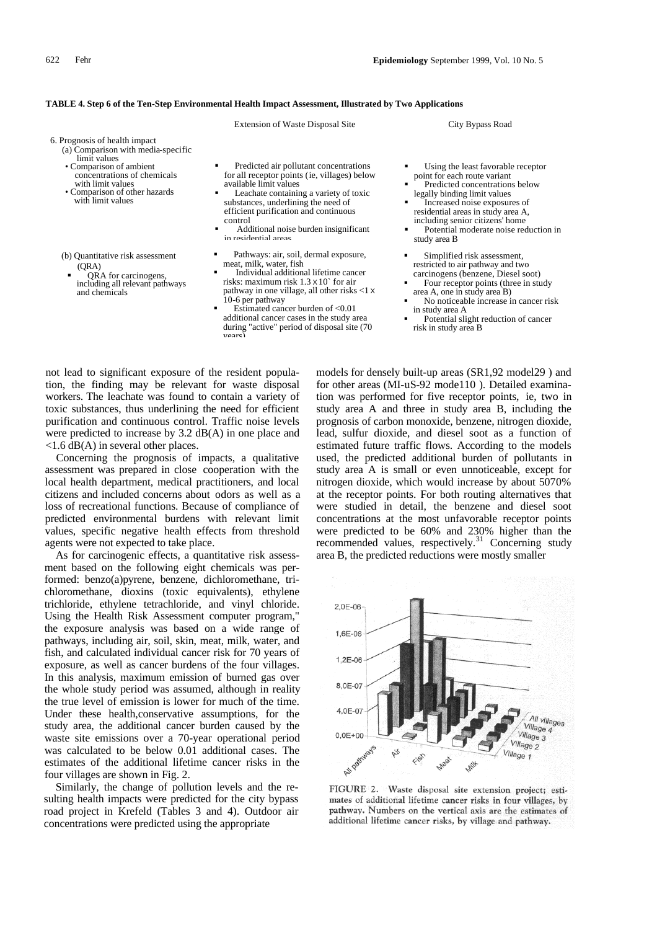### **TABLE 4. Step 6 of the Ten-Step Environmental Health Impact Assessment, Illustrated by Two Applications**

|                                                                                                                                                                                                                          | <b>Extension of Waste Disposal Site</b>                                                                                                                                                                                                                                                                                                                                            | City Bypass Road                                                                                                                                                                                                                                                                                           |
|--------------------------------------------------------------------------------------------------------------------------------------------------------------------------------------------------------------------------|------------------------------------------------------------------------------------------------------------------------------------------------------------------------------------------------------------------------------------------------------------------------------------------------------------------------------------------------------------------------------------|------------------------------------------------------------------------------------------------------------------------------------------------------------------------------------------------------------------------------------------------------------------------------------------------------------|
| 6. Prognosis of health impact<br>(a) Comparison with media-specific<br>limit values<br>• Comparison of ambient<br>concentrations of chemicals<br>with limit values<br>• Comparison of other hazards<br>with limit values | Predicted air pollutant concentrations<br>for all receptor points (ie, villages) below<br>available limit values<br>Leachate containing a variety of toxic<br>substances, underlining the need of<br>efficient purification and continuous<br>control<br>Additional noise burden insignificant<br>in residential areas                                                             | Using the least favorable receptor<br>point for each route variant<br>Predicted concentrations below<br>legally binding limit values<br>Increased noise exposures of<br>residential areas in study area A,<br>including senior citizens' home<br>Potential moderate noise reduction in<br>study area B     |
| (b) Quantitative risk assessment<br>(QRA)<br>QRA for carcinogens,<br>including all relevant pathways<br>and chemicals                                                                                                    | Pathways: air, soil, dermal exposure,<br>meat, milk, water, fish<br>Individual additional lifetime cancer<br>risks: maximum risk $1.3 \times 10^{\circ}$ for air<br>pathway in one village, all other risks <1 x<br>10-6 per pathway<br>Estimated cancer burden of $< 0.01$<br>additional cancer cases in the study area<br>during "active" period of disposal site (70)<br>vears) | Simplified risk assessment,<br>restricted to air pathway and two<br>carcinogens (benzene, Diesel soot)<br>Four receptor points (three in study<br>area A, one in study area B)<br>No noticeable increase in cancer risk<br>in study area A<br>Potential slight reduction of cancer<br>risk in study area B |

not lead to significant exposure of the resident population, the finding may be relevant for waste disposal workers. The leachate was found to contain a variety of toxic substances, thus underlining the need for efficient purification and continuous control. Traffic noise levels were predicted to increase by 3.2 dB(A) in one place and  $\langle$ 1.6 dB(A) in several other places.

Concerning the prognosis of impacts, a qualitative assessment was prepared in close cooperation with the local health department, medical practitioners, and local citizens and included concerns about odors as well as a loss of recreational functions. Because of compliance of predicted environmental burdens with relevant limit values, specific negative health effects from threshold agents were not expected to take place.

As for carcinogenic effects, a quantitative risk assessment based on the following eight chemicals was performed: benzo(a)pyrene, benzene, dichloromethane, trichloromethane, dioxins (toxic equivalents), ethylene trichloride, ethylene tetrachloride, and vinyl chloride. Using the Health Risk Assessment computer program," the exposure analysis was based on a wide range of pathways, including air, soil, skin, meat, milk, water, and fish, and calculated individual cancer risk for 70 years of exposure, as well as cancer burdens of the four villages. In this analysis, maximum emission of burned gas over the whole study period was assumed, although in reality the true level of emission is lower for much of the time. Under these health,conservative assumptions, for the study area, the additional cancer burden caused by the waste site emissions over a 70-year operational period was calculated to be below 0.01 additional cases. The estimates of the additional lifetime cancer risks in the four villages are shown in Fig. 2.

Similarly, the change of pollution levels and the resulting health impacts were predicted for the city bypass road project in Krefeld (Tables 3 and 4). Outdoor air concentrations were predicted using the appropriate

models for densely built-up areas (SR1,92 model29 ) and for other areas (MI-uS-92 mode110 ). Detailed examination was performed for five receptor points, ie, two in study area A and three in study area B, including the prognosis of carbon monoxide, benzene, nitrogen dioxide, lead, sulfur dioxide, and diesel soot as a function of estimated future traffic flows. According to the models used, the predicted additional burden of pollutants in study area A is small or even unnoticeable, except for nitrogen dioxide, which would increase by about 5070% at the receptor points. For both routing alternatives that were studied in detail, the benzene and diesel soot concentrations at the most unfavorable receptor points were predicted to be 60% and 230% higher than the recommended values, respectively.<sup>31</sup> Concerning study area B, the predicted reductions were mostly smaller



FIGURE 2. Waste disposal site extension project; estimates of additional lifetime cancer risks in four villages, by pathway. Numbers on the vertical axis are the estimates of additional lifetime cancer risks, by village and pathway.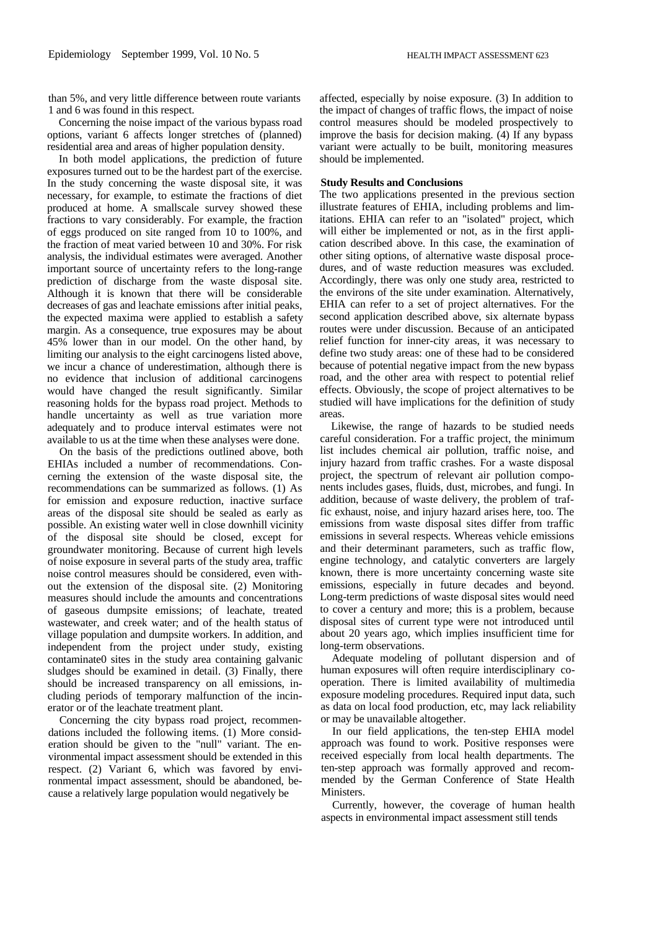than 5%, and very little difference between route variants 1 and 6 was found in this respect.

Concerning the noise impact of the various bypass road options, variant 6 affects longer stretches of (planned) residential area and areas of higher population density.

In both model applications, the prediction of future exposures turned out to be the hardest part of the exercise. In the study concerning the waste disposal site, it was necessary, for example, to estimate the fractions of diet produced at home. A smallscale survey showed these fractions to vary considerably. For example, the fraction of eggs produced on site ranged from 10 to 100%, and the fraction of meat varied between 10 and 30%. For risk analysis, the individual estimates were averaged. Another important source of uncertainty refers to the long-range prediction of discharge from the waste disposal site. Although it is known that there will be considerable decreases of gas and leachate emissions after initial peaks, the expected maxima were applied to establish a safety margin. As a consequence, true exposures may be about 45% lower than in our model. On the other hand, by limiting our analysis to the eight carcinogens listed above, we incur a chance of underestimation, although there is no evidence that inclusion of additional carcinogens would have changed the result significantly. Similar reasoning holds for the bypass road project. Methods to handle uncertainty as well as true variation more adequately and to produce interval estimates were not available to us at the time when these analyses were done.

On the basis of the predictions outlined above, both EHIAs included a number of recommendations. Concerning the extension of the waste disposal site, the recommendations can be summarized as follows. (1) As for emission and exposure reduction, inactive surface areas of the disposal site should be sealed as early as possible. An existing water well in close downhill vicinity of the disposal site should be closed, except for groundwater monitoring. Because of current high levels of noise exposure in several parts of the study area, traffic noise control measures should be considered, even without the extension of the disposal site. (2) Monitoring measures should include the amounts and concentrations of gaseous dumpsite emissions; of leachate, treated wastewater, and creek water; and of the health status of village population and dumpsite workers. In addition, and independent from the project under study, existing contaminate0 sites in the study area containing galvanic sludges should be examined in detail. (3) Finally, there should be increased transparency on all emissions, including periods of temporary malfunction of the incinerator or of the leachate treatment plant.

Concerning the city bypass road project, recommendations included the following items. (1) More consideration should be given to the "null" variant. The environmental impact assessment should be extended in this respect. (2) Variant 6, which was favored by environmental impact assessment, should be abandoned, because a relatively large population would negatively be

affected, especially by noise exposure. (3) In addition to the impact of changes of traffic flows, the impact of noise control measures should be modeled prospectively to improve the basis for decision making. (4) If any bypass variant were actually to be built, monitoring measures should be implemented.

# **Study Results and Conclusions**

The two applications presented in the previous section illustrate features of EHIA, including problems and limitations. EHIA can refer to an "isolated" project, which will either be implemented or not, as in the first application described above. In this case, the examination of other siting options, of alternative waste disposal procedures, and of waste reduction measures was excluded. Accordingly, there was only one study area, restricted to the environs of the site under examination. Alternatively, EHIA can refer to a set of project alternatives. For the second application described above, six alternate bypass routes were under discussion. Because of an anticipated relief function for inner-city areas, it was necessary to define two study areas: one of these had to be considered because of potential negative impact from the new bypass road, and the other area with respect to potential relief effects. Obviously, the scope of project alternatives to be studied will have implications for the definition of study areas.

Likewise, the range of hazards to be studied needs careful consideration. For a traffic project, the minimum list includes chemical air pollution, traffic noise, and injury hazard from traffic crashes. For a waste disposal project, the spectrum of relevant air pollution components includes gases, fluids, dust, microbes, and fungi. In addition, because of waste delivery, the problem of traffic exhaust, noise, and injury hazard arises here, too. The emissions from waste disposal sites differ from traffic emissions in several respects. Whereas vehicle emissions and their determinant parameters, such as traffic flow, engine technology, and catalytic converters are largely known, there is more uncertainty concerning waste site emissions, especially in future decades and beyond. Long-term predictions of waste disposal sites would need to cover a century and more; this is a problem, because disposal sites of current type were not introduced until about 20 years ago, which implies insufficient time for long-term observations.

Adequate modeling of pollutant dispersion and of human exposures will often require interdisciplinary cooperation. There is limited availability of multimedia exposure modeling procedures. Required input data, such as data on local food production, etc, may lack reliability or may be unavailable altogether.

In our field applications, the ten-step EHIA model approach was found to work. Positive responses were received especially from local health departments. The ten-step approach was formally approved and recommended by the German Conference of State Health Ministers.

Currently, however, the coverage of human health aspects in environmental impact assessment still tends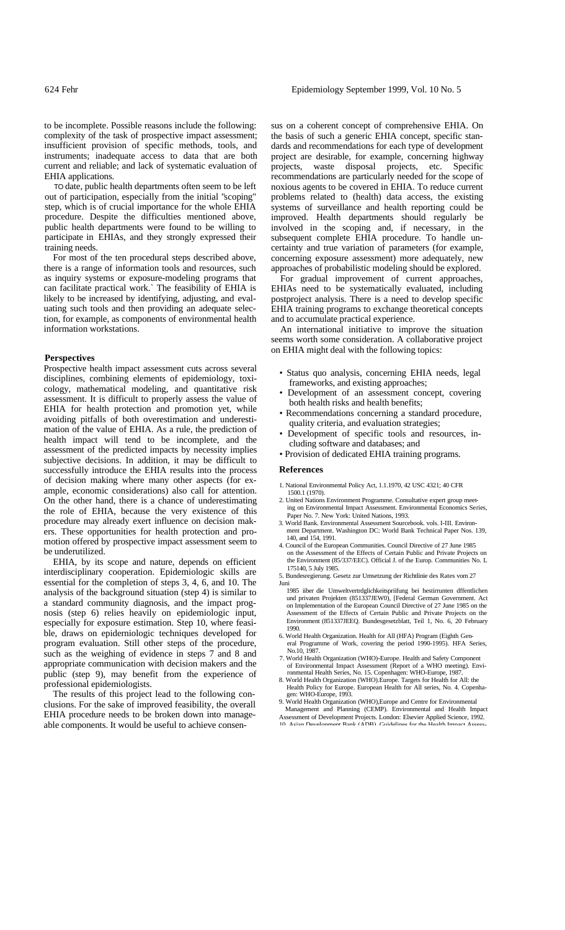to be incomplete. Possible reasons include the following: complexity of the task of prospective impact assessment; insufficient provision of specific methods, tools, and instruments; inadequate access to data that are both current and reliable; and lack of systematic evaluation of EHIA applications.

TO date, public health departments often seem to be left out of participation, especially from the initial "scoping" step, which is of crucial importance for the whole EHIA procedure. Despite the difficulties mentioned above, public health departments were found to be willing to participate in EHIAs, and they strongly expressed their training needs.

For most of the ten procedural steps described above, there is a range of information tools and resources, such as inquiry systems or exposure-modeling programs that can facilitate practical work.` The feasibility of EHIA is likely to be increased by identifying, adjusting, and evaluating such tools and then providing an adequate selection, for example, as components of environmental health information workstations.

# **Perspectives**

Prospective health impact assessment cuts across several disciplines, combining elements of epidemiology, toxicology, mathematical modeling, and quantitative risk assessment. It is difficult to properly assess the value of EHIA for health protection and promotion yet, while avoiding pitfalls of both overestimation and underestimation of the value of EHIA. As a rule, the prediction of health impact will tend to be incomplete, and the assessment of the predicted impacts by necessity implies subjective decisions. In addition, it may be difficult to successfully introduce the EHIA results into the process of decision making where many other aspects (for example, economic considerations) also call for attention. On the other hand, there is a chance of underestimating the role of EHIA, because the very existence of this procedure may already exert influence on decision makers. These opportunities for health protection and promotion offered by prospective impact assessment seem to be underutilized.

EHIA, by its scope and nature, depends on efficient interdisciplinary cooperation. Epidemiologic skills are essential for the completion of steps 3, 4, 6, and 10. The analysis of the background situation (step 4) is similar to a standard community diagnosis, and the impact prognosis (step 6) relies heavily on epidemiologic input, especially for exposure estimation. Step 10, where feasible, draws on epiderniologic techniques developed for program evaluation. Still other steps of the procedure, such as the weighing of evidence in steps 7 and 8 and appropriate communication with decision makers and the public (step 9), may benefit from the experience of professional epidemiologists.

The results of this project lead to the following conclusions. For the sake of improved feasibility, the overall EHIA procedure needs to be broken down into manageable components. It would be useful to achieve consen-

sus on a coherent concept of comprehensive EHIA. On the basis of such a generic EHIA concept, specific standards and recommendations for each type of development project are desirable, for example, concerning highway projects, waste disposal projects, etc. Specific recommendations are particularly needed for the scope of noxious agents to be covered in EHIA. To reduce current problems related to (health) data access, the existing systems of surveillance and health reporting could be improved. Health departments should regularly be involved in the scoping and, if necessary, in the subsequent complete EHIA procedure. To handle uncertainty and true variation of parameters (for example, concerning exposure assessment) more adequately, new approaches of probabilistic modeling should be explored.

For gradual improvement of current approaches, EHIAs need to be systematically evaluated, including postproject analysis. There is a need to develop specific EHIA training programs to exchange theoretical concepts and to accumulate practical experience.

An international initiative to improve the situation seems worth some consideration. A collaborative project on EHIA might deal with the following topics:

- Status quo analysis, concerning EHIA needs, legal frameworks, and existing approaches;
- Development of an assessment concept, covering both health risks and health benefits;
- Recommendations concerning a standard procedure, quality criteria, and evaluation strategies;
- Development of specific tools and resources, including software and databases; and
- Provision of dedicated EHIA training programs.

### **References**

- 1. National Environmental Policy Act, 1.1.1970, 42 USC 4321; 40 CFR
- 1500.1 (1970). 2. United Nations Environment Programme. Consultative expert group meeting on Environmental Impact Assessment. Environmental Economics Series, Paper No. 7. New York: United Nations, 1993.
- 3. World Bank. Environmental Assessment Sourcebook. vols. I-III. Environment Department. Washington DC: World Bank Technical Paper Nos. 139, 140, and 154, 1991.
- 4. Council of the European Communities. Council Directive of 27 June 1985 on the Assessment of the Effects of Certain Public and Private Projects on the Environment (85/337/EEC). Official J. of the Europ. Communities No. L 175140, 5 July 1985.
- 5. Bundesregierung. Gesetz zur Umsetzung der Richtlinie des Rates vom 27 Juni
- 1985 iiber die Umweltvertrdglichkeitspriifung bei hestirrunten dffentlichen und privaten Projekten (851337JEW0), [Federal German Government. Act on Implementation of the European Council Directive of 27 June 1985 on the Assessment of the Effects of Certain Public and Private Projects on the Environment (851337JEEQ. Bundesgesetzblatt, Teil 1, No. 6, 20 February 1990.
- 6. World Health Organization. Health for All (HFA) Program (Eighth General Programme of Work, covering the period 1990-1995). HFA Series, No.10, 1987.
- 7. World Health Organization (WHO)-Europe. Health and Safety Component of Environmental Impact Assessment (Report of a WHO meeting). Envi-ronmental Health Series, No. 15. Copenhagen: WHO-Europe, 1987.
- 8. World Health Organization (WHO).Europe. Targets for Health for All: the Health Policy for Europe. European Health for All series, No. 4. Copenha-gen: WHO-Europe, 1993.
- 9. World Health Organization (WHO),Europe and Centre for Environmental
- Management and Planning (CEMP). Environmental and Health Impact Assessment of Development Projects. London: Elsevier Applied Science, 1992.  $10^{\circ}$  Asian Development Bank ( $\Delta$ DR). Guidelines for the Health Impact Assess-